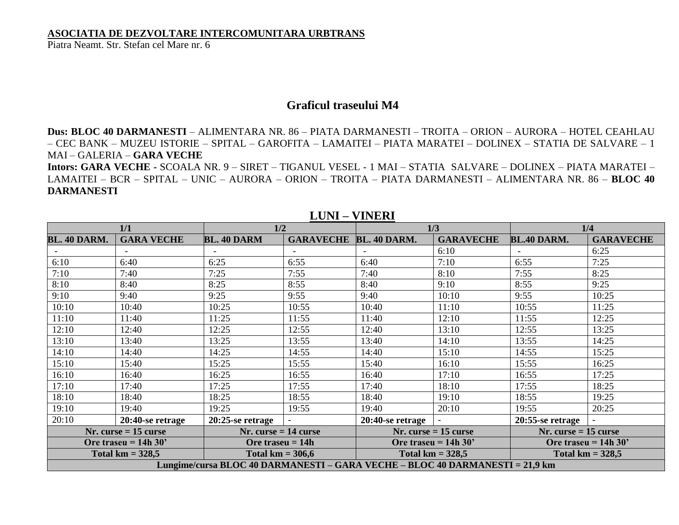## **ASOCIATIA DE DEZVOLTARE INTERCOMUNITARA URBTRANS**

Piatra Neamt. Str. Stefan cel Mare nr. 6

## **Graficul traseului M4**

**Dus: BLOC 40 DARMANESTI** – ALIMENTARA NR. 86 – PIATA DARMANESTI – TROITA – ORION – AURORA – HOTEL CEAHLAU – CEC BANK – MUZEU ISTORIE – SPITAL – GAROFITA – LAMAITEI – PIATA MARATEI – DOLINEX – STATIA DE SALVARE – 1 MAI – GALERIA – **GARA VECHE**

**Intors: GARA VECHE -** SCOALA NR. 9 – SIRET – TIGANUL VESEL - 1 MAI – STATIA SALVARE – DOLINEX – PIATA MARATEI – LAMAITEI – BCR – SPITAL – UNIC – AURORA – ORION – TROITA – PIATA DARMANESTI – ALIMENTARA NR. 86 – **BLOC 40 DARMANESTI**

| 1/1                                                                          |                   | 1/2                    |                  | 1/3                    |                  | 1/4                    |                  |  |  |
|------------------------------------------------------------------------------|-------------------|------------------------|------------------|------------------------|------------------|------------------------|------------------|--|--|
| <b>BL. 40 DARM.</b>                                                          | <b>GARA VECHE</b> | <b>BL. 40 DARM</b>     | <b>GARAVECHE</b> | BL. 40 DARM.           | <b>GARAVECHE</b> | <b>BL.40 DARM.</b>     | <b>GARAVECHE</b> |  |  |
|                                                                              |                   |                        |                  |                        | 6:10             |                        | 6:25             |  |  |
| 6:10                                                                         | 6:40              | 6:25                   | 6:55             | 6:40                   | 7:10             | 6:55                   | 7:25             |  |  |
| 7:10                                                                         | 7:40              | 7:25                   | 7:55             | 7:40                   | 8:10             | 7:55                   | 8:25             |  |  |
| 8:10                                                                         | 8:40              | 8:25                   | 8:55             | 8:40                   | 9:10             | 8:55                   | 9:25             |  |  |
| 9:10                                                                         | 9:40              | 9:25                   | 9:55             | 9:40                   | 10:10            | 9:55                   | 10:25            |  |  |
| 10:10                                                                        | 10:40             | 10:25                  | 10:55            | 10:40                  | 11:10            | 10:55                  | 11:25            |  |  |
| 11:10                                                                        | 11:40             | 11:25                  | 11:55            | 11:40                  | 12:10            | 11:55                  | 12:25            |  |  |
| 12:10                                                                        | 12:40             | 12:25                  | 12:55            | 12:40                  | 13:10            | 12:55                  | 13:25            |  |  |
| 13:10                                                                        | 13:40             | 13:25                  | 13:55            | 13:40                  | 14:10            | 13:55                  | 14:25            |  |  |
| 14:10                                                                        | 14:40             | 14:25                  | 14:55            | 14:40                  | 15:10            | 14:55                  | 15:25            |  |  |
| 15:10                                                                        | 15:40             | 15:25                  | 15:55            | 15:40                  | 16:10            | 15:55                  | 16:25            |  |  |
| 16:10                                                                        | 16:40             | 16:25                  | 16:55            | 16:40                  | 17:10            | 16:55                  | 17:25            |  |  |
| 17:10                                                                        | 17:40             | 17:25                  | 17:55            | 17:40                  | 18:10            | 17:55                  | 18:25            |  |  |
| 18:10                                                                        | 18:40             | 18:25                  | 18:55            | 18:40                  | 19:10            | 18:55                  | 19:25            |  |  |
| 19:10                                                                        | 19:40             | 19:25                  | 19:55            | 19:40                  | 20:10            | 19:55                  | 20:25            |  |  |
| 20:10                                                                        | 20:40-se retrage  | $20:25$ -se retrage    |                  | $20:40$ -se retrage    |                  | 20:55-se retrage       |                  |  |  |
| $Nr. curse = 15 curse$                                                       |                   | $Nr. curse = 14 curse$ |                  | $Nr. curse = 15 curse$ |                  | $Nr. curse = 15 curse$ |                  |  |  |
| Ore traseu = $14h 30'$                                                       |                   | Ore traseu $= 14h$     |                  | Ore traseu = $14h 30'$ |                  | Ore traseu = $14h 30'$ |                  |  |  |
| Total $km = 328.5$                                                           |                   | Total $km = 306.6$     |                  | Total $km = 328.5$     |                  | Total $km = 328.5$     |                  |  |  |
| Lungime/cursa BLOC 40 DARMANESTI – GARA VECHE – BLOC 40 DARMANESTI = 21,9 km |                   |                        |                  |                        |                  |                        |                  |  |  |

## **LUNI – VINERI**